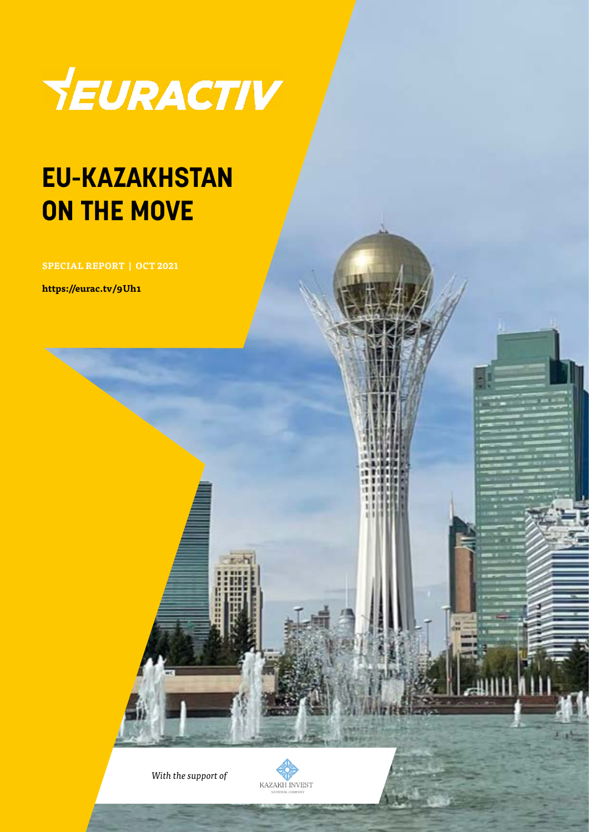

### **EU-KAZAKHSTAN ON THE MOVE**

**SPECIAL REPORT | OCT 2021**

**https://eurac.tv/9Uh1**

*With the support of*

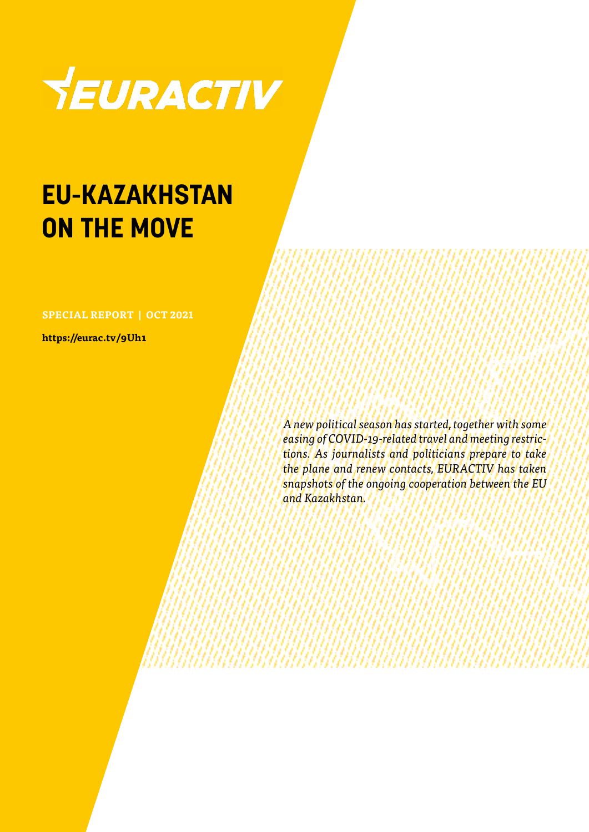

### **EU-KAZAKHSTAN ON THE MOVE**

**SPECIAL REPORT | OCT 2021**

**https://eurac.tv/9Uh1**

*A new political season has started, together with some easing of COVID-19-related travel and meeting restrictions. As journalists and politicians prepare to take the plane and renew contacts, EURACTIV has taken snapshots of the ongoing cooperation between the EU and Kazakhstan.*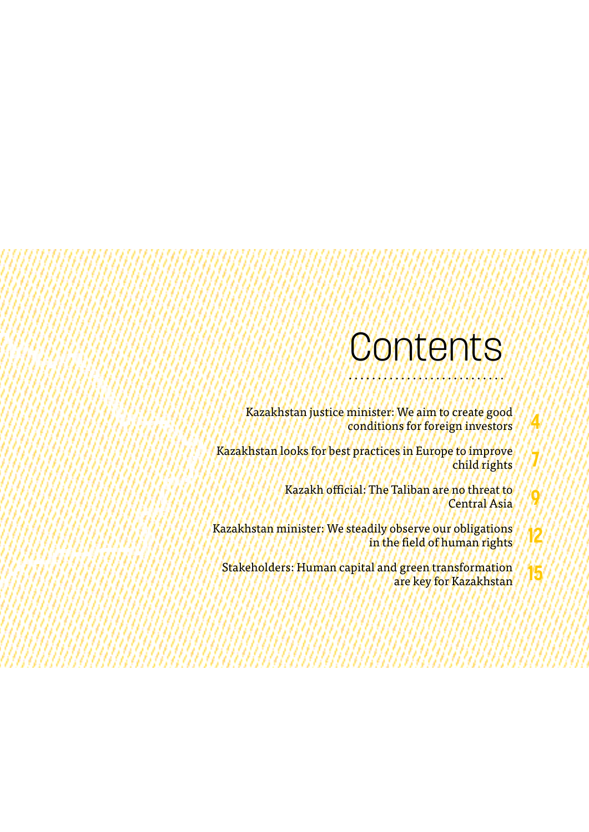### **Contents**

**4**

**7**

**9**

- Kazakhstan justice minister: We aim to create good conditions for foreign investors
- Kazakhstan looks for best practices in Europe to improve child rights
	- Kazakh official: The Taliban are no threat to Central Asia
- Kazakhstan minister: We steadily observe our obligations in the field of human rights **12**
	- Stakeholders: Human capital and green transformation are key for Kazakhstan **15**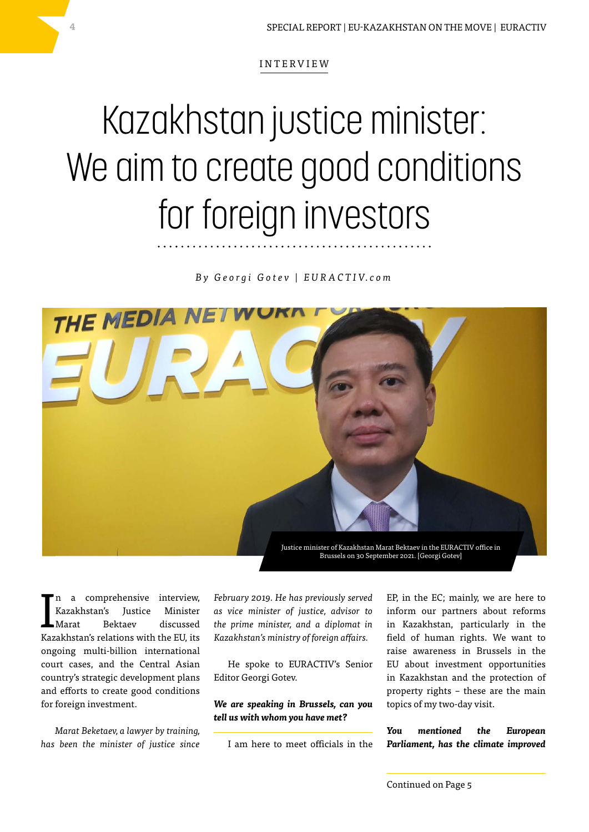## Kazakhstan justice minister: We aim to create good conditions for foreign investors

*B y G e o r g i G o t e v | E U R A C T I V. c o m*



I a comprehensive interview, Kazakhstan's Justice Minister Marat Bektaev discussed Kazakhstan's relations with the EU, its ongoing multi-billion international court cases, and the Central Asian country's strategic development plans and efforts to create good conditions for foreign investment.

*Marat Beketaev, a lawyer by training, has been the minister of justice since*  *February 2019. He has previously served as vice minister of justice, advisor to the prime minister, and a diplomat in Kazakhstan's ministry of foreign affairs.*

He spoke to EURACTIV's Senior Editor Georgi Gotev.

#### *We are speaking in Brussels, can you tell us with whom you have met?*

I am here to meet officials in the

EP, in the EC; mainly, we are here to inform our partners about reforms in Kazakhstan, particularly in the field of human rights. We want to raise awareness in Brussels in the EU about investment opportunities in Kazakhstan and the protection of property rights – these are the main topics of my two-day visit.

*You mentioned the European Parliament, has the climate improved*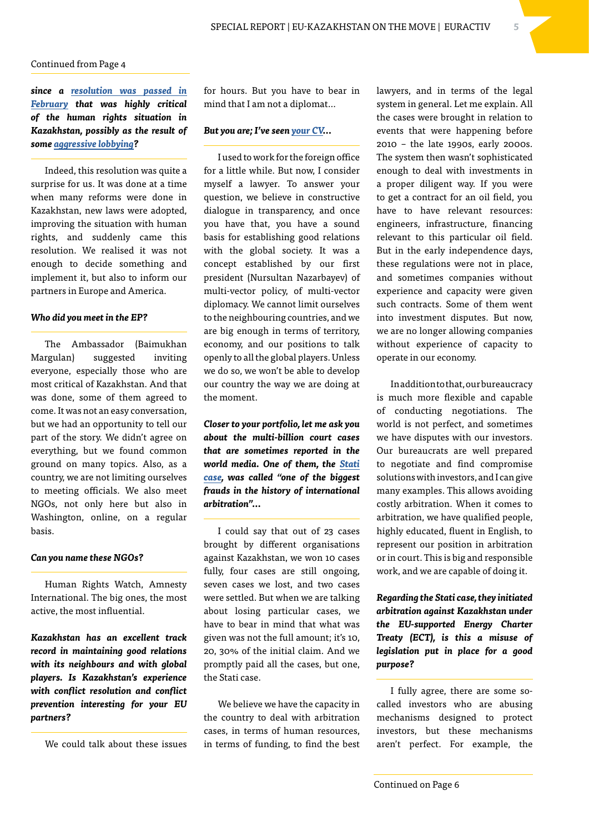*since a [resolution was passed in](https://www.euractiv.com/section/central-asia/news/clumsy-resolution-risks-alienating-eu-from-kazakhstan-mep-says/)  [February](https://www.euractiv.com/section/central-asia/news/clumsy-resolution-risks-alienating-eu-from-kazakhstan-mep-says/) that was highly critical of the human rights situation in Kazakhstan, possibly as the result of some [aggressive lobbying](https://www.euractiv.com/section/central-asia/news/fugitive-kleptocrat-supports-protest-in-kazakhstan/)?*

Indeed, this resolution was quite a surprise for us. It was done at a time when many reforms were done in Kazakhstan, new laws were adopted, improving the situation with human rights, and suddenly came this resolution. We realised it was not enough to decide something and implement it, but also to inform our partners in Europe and America.

#### *Who did you meet in the EP?*

The Ambassador (Baimukhan Margulan) suggested inviting everyone, especially those who are most critical of Kazakhstan. And that was done, some of them agreed to come. It was not an easy conversation, but we had an opportunity to tell our part of the story. We didn't agree on everything, but we found common ground on many topics. Also, as a country, we are not limiting ourselves to meeting officials. We also meet NGOs, not only here but also in Washington, online, on a regular basis.

#### *Can you name these NGOs?*

Human Rights Watch, Amnesty International. The big ones, the most active, the most influential.

*Kazakhstan has an excellent track record in maintaining good relations with its neighbours and with global players. Is Kazakhstan's experience with conflict resolution and conflict prevention interesting for your EU partners?*

We could talk about these issues

for hours. But you have to bear in mind that I am not a diplomat…

#### *But you are; I've seen [your CV…](https://primeminister.kz/en/government/composition/beketaev)*

I used to work for the foreign office for a little while. But now, I consider myself a lawyer. To answer your question, we believe in constructive dialogue in transparency, and once you have that, you have a sound basis for establishing good relations with the global society. It was a concept established by our first president (Nursultan Nazarbayev) of multi-vector policy, of multi-vector diplomacy. We cannot limit ourselves to the neighbouring countries, and we are big enough in terms of territory, economy, and our positions to talk openly to all the global players. Unless we do so, we won't be able to develop our country the way we are doing at the moment.

*Closer to your portfolio, let me ask you about the multi-billion court cases that are sometimes reported in the world media. One of them, the [Stati](https://www.euractiv.com/section/central-asia/news/kazakhstan-says-it-has-upper-hand-in-multi-billion-legal-case/)  [case,](https://www.euractiv.com/section/central-asia/news/kazakhstan-says-it-has-upper-hand-in-multi-billion-legal-case/) was called "one of the biggest frauds in the history of international arbitration"…*

I could say that out of 23 cases brought by different organisations against Kazakhstan, we won 10 cases fully, four cases are still ongoing, seven cases we lost, and two cases were settled. But when we are talking about losing particular cases, we have to bear in mind that what was given was not the full amount; it's 10, 20, 30% of the initial claim. And we promptly paid all the cases, but one, the Stati case.

We believe we have the capacity in the country to deal with arbitration cases, in terms of human resources, in terms of funding, to find the best lawyers, and in terms of the legal system in general. Let me explain. All the cases were brought in relation to events that were happening before 2010 – the late 1990s, early 2000s. The system then wasn't sophisticated enough to deal with investments in a proper diligent way. If you were to get a contract for an oil field, you have to have relevant resources: engineers, infrastructure, financing relevant to this particular oil field. But in the early independence days, these regulations were not in place, and sometimes companies without experience and capacity were given such contracts. Some of them went into investment disputes. But now, we are no longer allowing companies without experience of capacity to operate in our economy.

In addition to that, our bureaucracy is much more flexible and capable of conducting negotiations. The world is not perfect, and sometimes we have disputes with our investors. Our bureaucrats are well prepared to negotiate and find compromise solutions with investors, and I can give many examples. This allows avoiding costly arbitration. When it comes to arbitration, we have qualified people, highly educated, fluent in English, to represent our position in arbitration or in court. This is big and responsible work, and we are capable of doing it.

*Regarding the Stati case, they initiated arbitration against Kazakhstan under the EU-supported Energy Charter Treaty (ECT), is this a misuse of legislation put in place for a good purpose?*

I fully agree, there are some socalled investors who are abusing mechanisms designed to protect investors, but these mechanisms aren't perfect. For example, the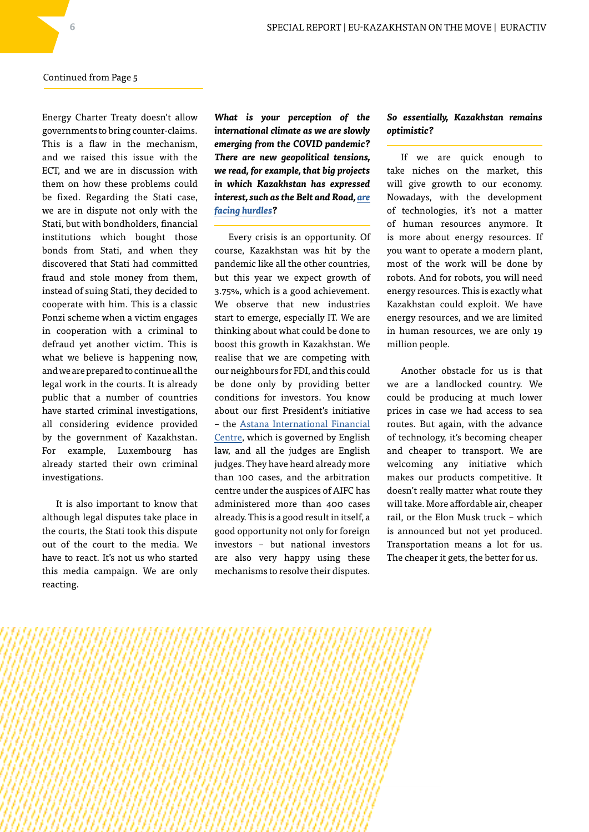Energy Charter Treaty doesn't allow governments to bring counter-claims. This is a flaw in the mechanism, and we raised this issue with the ECT, and we are in discussion with them on how these problems could be fixed. Regarding the Stati case, we are in dispute not only with the Stati, but with bondholders, financial institutions which bought those bonds from Stati, and when they discovered that Stati had committed fraud and stole money from them, instead of suing Stati, they decided to cooperate with him. This is a classic Ponzi scheme when a victim engages in cooperation with a criminal to defraud yet another victim. This is what we believe is happening now, and we are prepared to continue all the legal work in the courts. It is already public that a number of countries have started criminal investigations, all considering evidence provided by the government of Kazakhstan. For example, Luxembourg has already started their own criminal investigations.

It is also important to know that although legal disputes take place in the courts, the Stati took this dispute out of the court to the media. We have to react. It's not us who started this media campaign. We are only reacting.

*What is your perception of the international climate as we are slowly emerging from the COVID pandemic? There are new geopolitical tensions, we read, for example, that big projects in which Kazakhstan has expressed interest, such as the Belt and Road, [are](https://www.euractiv.com/section/china/news/chinas-belt-and-road-plans-losing-momentum-as-opposition-debt-mount/) [facing hurdles](https://www.euractiv.com/section/china/news/chinas-belt-and-road-plans-losing-momentum-as-opposition-debt-mount/)?*

Every crisis is an opportunity. Of course, Kazakhstan was hit by the pandemic like all the other countries, but this year we expect growth of 3.75%, which is a good achievement. We observe that new industries start to emerge, especially IT. We are thinking about what could be done to boost this growth in Kazakhstan. We realise that we are competing with our neighbours for FDI, and this could be done only by providing better conditions for investors. You know about our first President's initiative – the [Astana International Financial](https://www.euractiv.com/section/central-asia/news/major-plans-for-hong-kong-style-hub-in-central-asia-revealed/) [Centre,](https://www.euractiv.com/section/central-asia/news/major-plans-for-hong-kong-style-hub-in-central-asia-revealed/) which is governed by English law, and all the judges are English judges. They have heard already more than 100 cases, and the arbitration centre under the auspices of AIFC has administered more than 400 cases already. This is a good result in itself, a good opportunity not only for foreign investors – but national investors are also very happy using these mechanisms to resolve their disputes.

#### *So essentially, Kazakhstan remains optimistic?*

If we are quick enough to take niches on the market, this will give growth to our economy. Nowadays, with the development of technologies, it's not a matter of human resources anymore. It is more about energy resources. If you want to operate a modern plant, most of the work will be done by robots. And for robots, you will need energy resources. This is exactly what Kazakhstan could exploit. We have energy resources, and we are limited in human resources, we are only 19 million people.

Another obstacle for us is that we are a landlocked country. We could be producing at much lower prices in case we had access to sea routes. But again, with the advance of technology, it's becoming cheaper and cheaper to transport. We are welcoming any initiative which makes our products competitive. It doesn't really matter what route they will take. More affordable air, cheaper rail, or the Elon Musk truck – which is announced but not yet produced. Transportation means a lot for us. The cheaper it gets, the better for us.

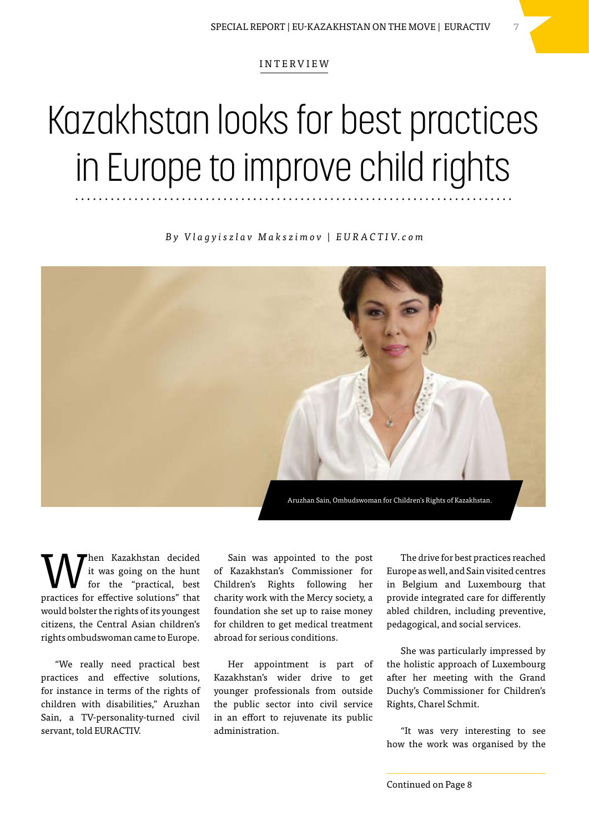## Kazakhstan looks for best practices in Europe to improve child rights

*B y V l a g y i s z l a v M a k s z i m o v | E U R A C T I V. c o m*



When Kazakhstan decided<br>for the "practical, best<br>mustices for effective selutions" that it was going on the hunt practices for effective solutions" that would bolster the rights of its youngest citizens, the Central Asian children's rights ombudswoman came to Europe.

"We really need practical best practices and effective solutions, for instance in terms of the rights of children with disabilities," Aruzhan Sain, a TV-personality-turned civil servant, told EURACTIV.

Sain was appointed to the post of Kazakhstan's Commissioner for Children's Rights following her charity work with the Mercy society, a foundation she set up to raise money for children to get medical treatment abroad for serious conditions.

Her appointment is part of Kazakhstan's wider drive to get younger professionals from outside the public sector into civil service in an effort to rejuvenate its public administration.

The drive for best practices reached Europe as well, and Sain visited centres in Belgium and Luxembourg that provide integrated care for differently abled children, including preventive, pedagogical, and social services.

She was particularly impressed by the holistic approach of Luxembourg after her meeting with the Grand Duchy's Commissioner for Children's Rights, Charel Schmit.

"It was very interesting to see how the work was organised by the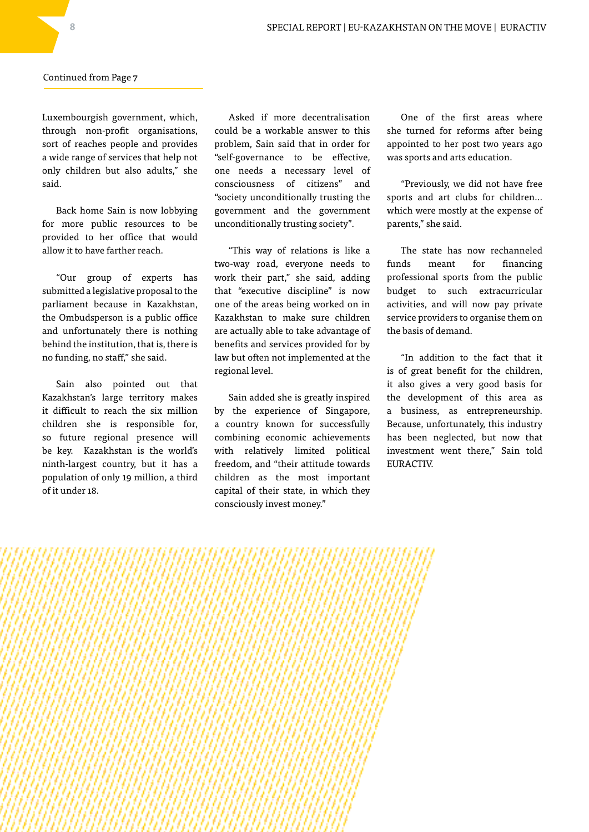Luxembourgish government, which, through non-profit organisations, sort of reaches people and provides a wide range of services that help not only children but also adults," she said.

Back home Sain is now lobbying for more public resources to be provided to her office that would allow it to have farther reach.

"Our group of experts has submitted a legislative proposal to the parliament because in Kazakhstan, the Ombudsperson is a public office and unfortunately there is nothing behind the institution, that is, there is no funding, no staff," she said.

Sain also pointed out that Kazakhstan's large territory makes it difficult to reach the six million children she is responsible for, so future regional presence will be key. Kazakhstan is the world's ninth-largest country, but it has a population of only 19 million, a third of it under 18.

Asked if more decentralisation could be a workable answer to this problem, Sain said that in order for "self-governance to be effective, one needs a necessary level of consciousness of citizens" and "society unconditionally trusting the government and the government unconditionally trusting society".

"This way of relations is like a two-way road, everyone needs to work their part," she said, adding that "executive discipline" is now one of the areas being worked on in Kazakhstan to make sure children are actually able to take advantage of benefits and services provided for by law but often not implemented at the regional level.

Sain added she is greatly inspired by the experience of Singapore, a country known for successfully combining economic achievements with relatively limited political freedom, and "their attitude towards children as the most important capital of their state, in which they consciously invest money."

One of the first areas where she turned for reforms after being appointed to her post two years ago was sports and arts education.

"Previously, we did not have free sports and art clubs for children… which were mostly at the expense of parents," she said.

The state has now rechanneled funds meant for financing professional sports from the public budget to such extracurricular activities, and will now pay private service providers to organise them on the basis of demand.

"In addition to the fact that it is of great benefit for the children, it also gives a very good basis for the development of this area as a business, as entrepreneurship. Because, unfortunately, this industry has been neglected, but now that investment went there," Sain told EURACTIV.

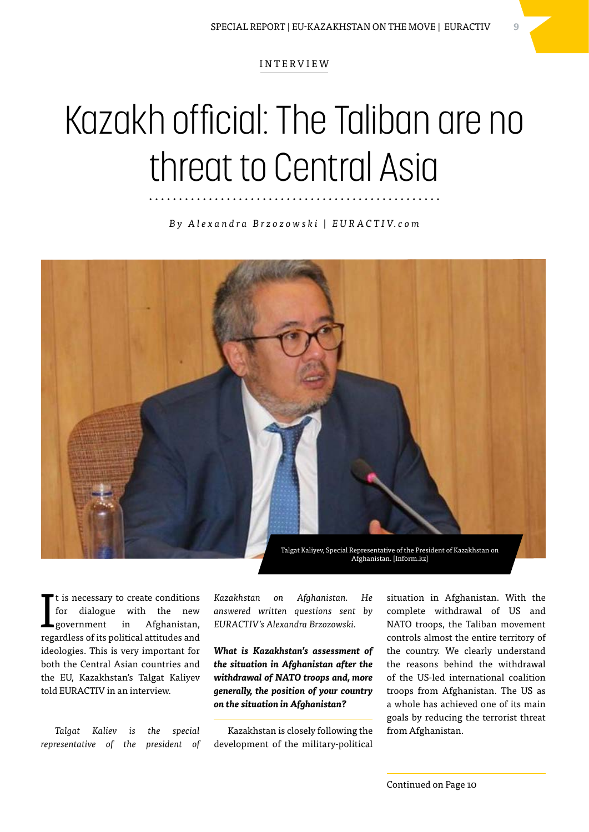### Kazakh official: The Taliban are no threat to Central Asia

*B y A l e x a n d r a B r z o z o w s k i | E U R A C T I V. c o m*



I t is necessary to create conditions for dialogue with the new government in Afghanistan, regardless of its political attitudes and ideologies. This is very important for both the Central Asian countries and the EU, Kazakhstan's Talgat Kaliyev told EURACTIV in an interview.

*Talgat Kaliev is the special representative of the president of*  *Kazakhstan on Afghanistan. He answered written questions sent by EURACTIV's Alexandra Brzozowski.*

*What is Kazakhstan's assessment of the situation in Afghanistan after the withdrawal of NATO troops and, more generally, the position of your country on the situation in Afghanistan?*

Kazakhstan is closely following the development of the military-political situation in Afghanistan. With the complete withdrawal of US and NATO troops, the Taliban movement controls almost the entire territory of the country. We clearly understand the reasons behind the withdrawal of the US-led international coalition troops from Afghanistan. The US as a whole has achieved one of its main goals by reducing the terrorist threat from Afghanistan.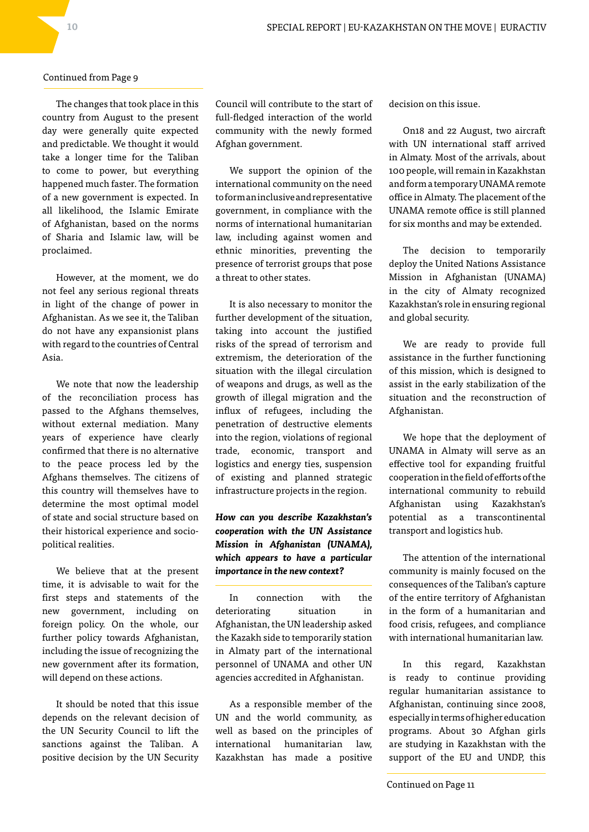The changes that took place in this country from August to the present day were generally quite expected and predictable. We thought it would take a longer time for the Taliban to come to power, but everything happened much faster. The formation of a new government is expected. In all likelihood, the Islamic Emirate of Afghanistan, based on the norms of Sharia and Islamic law, will be proclaimed.

However, at the moment, we do not feel any serious regional threats in light of the change of power in Afghanistan. As we see it, the Taliban do not have any expansionist plans with regard to the countries of Central Asia.

We note that now the leadership of the reconciliation process has passed to the Afghans themselves, without external mediation. Many years of experience have clearly confirmed that there is no alternative to the peace process led by the Afghans themselves. The citizens of this country will themselves have to determine the most optimal model of state and social structure based on their historical experience and sociopolitical realities.

We believe that at the present time, it is advisable to wait for the first steps and statements of the new government, including on foreign policy. On the whole, our further policy towards Afghanistan, including the issue of recognizing the new government after its formation, will depend on these actions.

It should be noted that this issue depends on the relevant decision of the UN Security Council to lift the sanctions against the Taliban. A positive decision by the UN Security Council will contribute to the start of full-fledged interaction of the world community with the newly formed Afghan government.

We support the opinion of the international community on the need to form an inclusive and representative government, in compliance with the norms of international humanitarian law, including against women and ethnic minorities, preventing the presence of terrorist groups that pose a threat to other states.

It is also necessary to monitor the further development of the situation, taking into account the justified risks of the spread of terrorism and extremism, the deterioration of the situation with the illegal circulation of weapons and drugs, as well as the growth of illegal migration and the influx of refugees, including the penetration of destructive elements into the region, violations of regional trade, economic, transport and logistics and energy ties, suspension of existing and planned strategic infrastructure projects in the region.

### *How can you describe Kazakhstan's cooperation with the UN Assistance Mission in Afghanistan (UNAMA), which appears to have a particular importance in the new context?*

In connection with the deteriorating situation in Afghanistan, the UN leadership asked the Kazakh side to temporarily station in Almaty part of the international personnel of UNAMA and other UN agencies accredited in Afghanistan.

As a responsible member of the UN and the world community, as well as based on the principles of international humanitarian law, Kazakhstan has made a positive

decision on this issue.

On18 and 22 August, two aircraft with UN international staff arrived in Almaty. Most of the arrivals, about 100 people, will remain in Kazakhstan and form a temporary UNAMA remote office in Almaty. The placement of the UNAMA remote office is still planned for six months and may be extended.

The decision to temporarily deploy the United Nations Assistance Mission in Afghanistan (UNAMA) in the city of Almaty recognized Kazakhstan's role in ensuring regional and global security.

We are ready to provide full assistance in the further functioning of this mission, which is designed to assist in the early stabilization of the situation and the reconstruction of Afghanistan.

We hope that the deployment of UNAMA in Almaty will serve as an effective tool for expanding fruitful cooperation in the field of efforts of the international community to rebuild Afghanistan using Kazakhstan's potential as a transcontinental transport and logistics hub.

The attention of the international community is mainly focused on the consequences of the Taliban's capture of the entire territory of Afghanistan in the form of a humanitarian and food crisis, refugees, and compliance with international humanitarian law.

In this regard, Kazakhstan is ready to continue providing regular humanitarian assistance to Afghanistan, continuing since 2008, especially in terms of higher education programs. About 30 Afghan girls are studying in Kazakhstan with the support of the EU and UNDP, this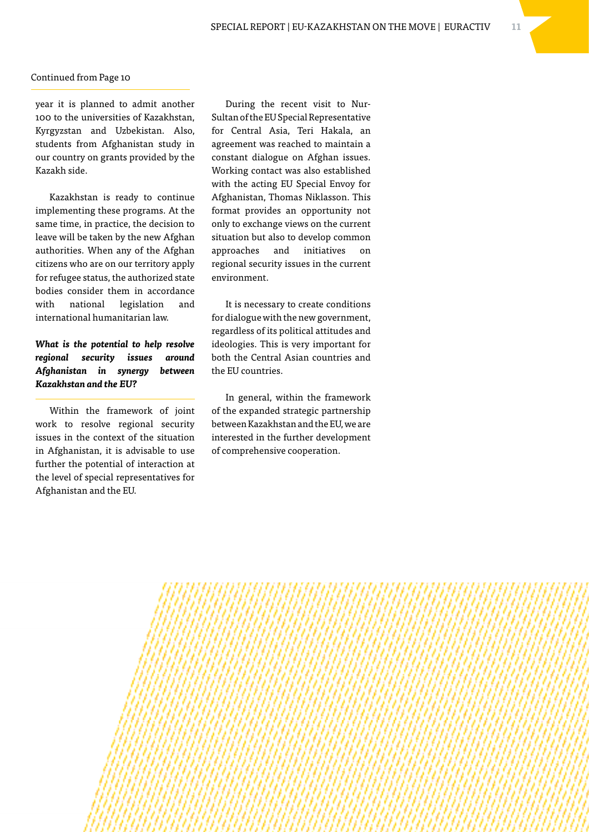year it is planned to admit another 100 to the universities of Kazakhstan, Kyrgyzstan and Uzbekistan. Also, students from Afghanistan study in our country on grants provided by the Kazakh side.

Kazakhstan is ready to continue implementing these programs. At the same time, in practice, the decision to leave will be taken by the new Afghan authorities. When any of the Afghan citizens who are on our territory apply for refugee status, the authorized state bodies consider them in accordance with national legislation and international humanitarian law.

*What is the potential to help resolve regional security issues around Afghanistan in synergy between Kazakhstan and the EU?*

Within the framework of joint work to resolve regional security issues in the context of the situation in Afghanistan, it is advisable to use further the potential of interaction at the level of special representatives for Afghanistan and the EU.

During the recent visit to Nur-Sultan of the EU Special Representative for Central Asia, Teri Hakala, an agreement was reached to maintain a constant dialogue on Afghan issues. Working contact was also established with the acting EU Special Envoy for Afghanistan, Thomas Niklasson. This format provides an opportunity not only to exchange views on the current situation but also to develop common approaches and initiatives on regional security issues in the current environment.

It is necessary to create conditions for dialogue with the new government, regardless of its political attitudes and ideologies. This is very important for both the Central Asian countries and the EU countries.

In general, within the framework of the expanded strategic partnership between Kazakhstan and the EU, we are interested in the further development of comprehensive cooperation.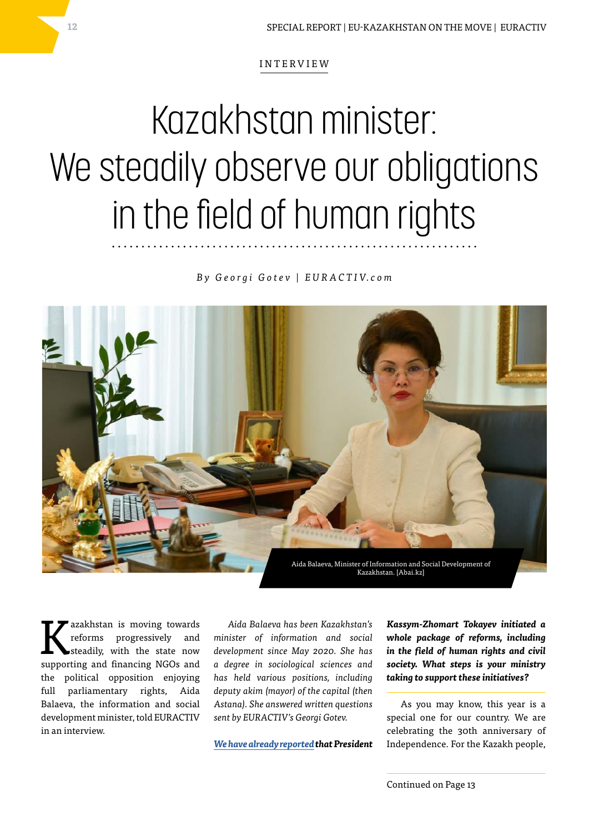## Kazakhstan minister: We steadily observe our obligations in the field of human rights

*B y G e o r g i G o t e v | E U R A C T I V. c o m*



Exakhstan is moving towards<br>reforms progressively and<br>steadily, with the state now reforms progressively and steadily, with the state now supporting and financing NGOs and the political opposition enjoying full parliamentary rights, Aida Balaeva, the information and social development minister, told EURACTIV in an interview.

*Aida Balaeva has been Kazakhstan's minister of information and social development since May 2020. She has a degree in sociological sciences and has held various positions, including deputy akim (mayor) of the capital (then Astana). She answered written questions sent by EURACTIV's Georgi Gotev.*

*[We have already reported](https://www.euractiv.com/section/central-asia/news/kazakhstan-announces-new-efforts-to-improve-human-rights-record/) that President* 

*Kassym-Zhomart Tokayev initiated a whole package of reforms, including in the field of human rights and civil society. What steps is your ministry taking to support these initiatives?*

As you may know, this year is a special one for our country. We are celebrating the 30th anniversary of Independence. For the Kazakh people,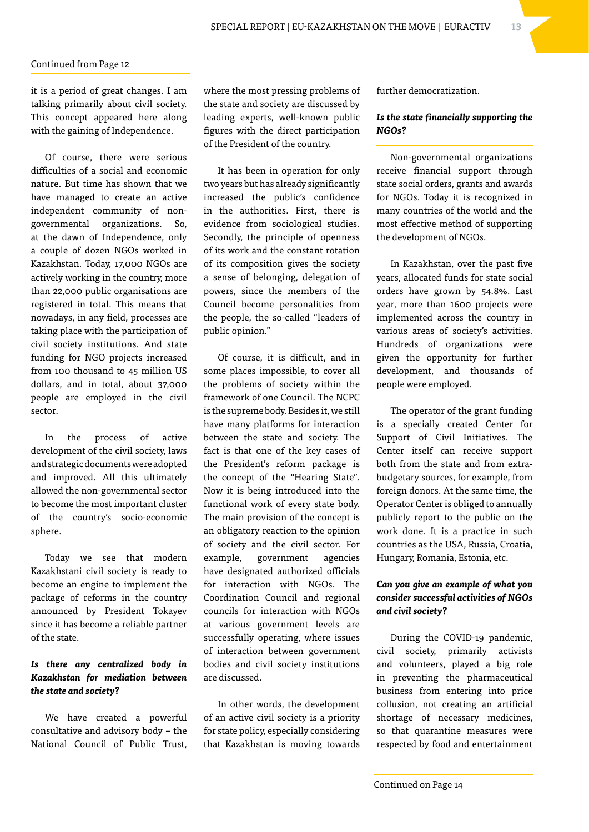it is a period of great changes. I am talking primarily about civil society. This concept appeared here along with the gaining of Independence.

Of course, there were serious difficulties of a social and economic nature. But time has shown that we have managed to create an active independent community of nongovernmental organizations. So, at the dawn of Independence, only a couple of dozen NGOs worked in Kazakhstan. Today, 17,000 NGOs are actively working in the country, more than 22,000 public organisations are registered in total. This means that nowadays, in any field, processes are taking place with the participation of civil society institutions. And state funding for NGO projects increased from 100 thousand to 45 million US dollars, and in total, about 37,000 people are employed in the civil sector.

In the process of active development of the civil society, laws and strategic documents were adopted and improved. All this ultimately allowed the non-governmental sector to become the most important cluster of the country's socio-economic sphere.

Today we see that modern Kazakhstani civil society is ready to become an engine to implement the package of reforms in the country announced by President Tokayev since it has become a reliable partner of the state.

### *Is there any centralized body in Kazakhstan for mediation between the state and society?*

We have created a powerful consultative and advisory body – the National Council of Public Trust,

where the most pressing problems of the state and society are discussed by leading experts, well-known public figures with the direct participation of the President of the country.

It has been in operation for only two years but has already significantly increased the public's confidence in the authorities. First, there is evidence from sociological studies. Secondly, the principle of openness of its work and the constant rotation of its composition gives the society a sense of belonging, delegation of powers, since the members of the Council become personalities from the people, the so-called "leaders of public opinion."

Of course, it is difficult, and in some places impossible, to cover all the problems of society within the framework of one Council. The NCPC is the supreme body. Besides it, we still have many platforms for interaction between the state and society. The fact is that one of the key cases of the President's reform package is the concept of the "Hearing State". Now it is being introduced into the functional work of every state body. The main provision of the concept is an obligatory reaction to the opinion of society and the civil sector. For example, government agencies have designated authorized officials for interaction with NGOs. The Coordination Council and regional councils for interaction with NGOs at various government levels are successfully operating, where issues of interaction between government bodies and civil society institutions are discussed.

In other words, the development of an active civil society is a priority for state policy, especially considering that Kazakhstan is moving towards

further democratization.

#### *Is the state financially supporting the NGOs?*

Non-governmental organizations receive financial support through state social orders, grants and awards for NGOs. Today it is recognized in many countries of the world and the most effective method of supporting the development of NGOs.

In Kazakhstan, over the past five years, allocated funds for state social orders have grown by 54.8%. Last year, more than 1600 projects were implemented across the country in various areas of society's activities. Hundreds of organizations were given the opportunity for further development, and thousands of people were employed.

The operator of the grant funding is a specially created Center for Support of Civil Initiatives. The Center itself can receive support both from the state and from extrabudgetary sources, for example, from foreign donors. At the same time, the Operator Center is obliged to annually publicly report to the public on the work done. It is a practice in such countries as the USA, Russia, Croatia, Hungary, Romania, Estonia, etc.

#### *Can you give an example of what you consider successful activities of NGOs and civil society?*

During the COVID-19 pandemic, civil society, primarily activists and volunteers, played a big role in preventing the pharmaceutical business from entering into price collusion, not creating an artificial shortage of necessary medicines, so that quarantine measures were respected by food and entertainment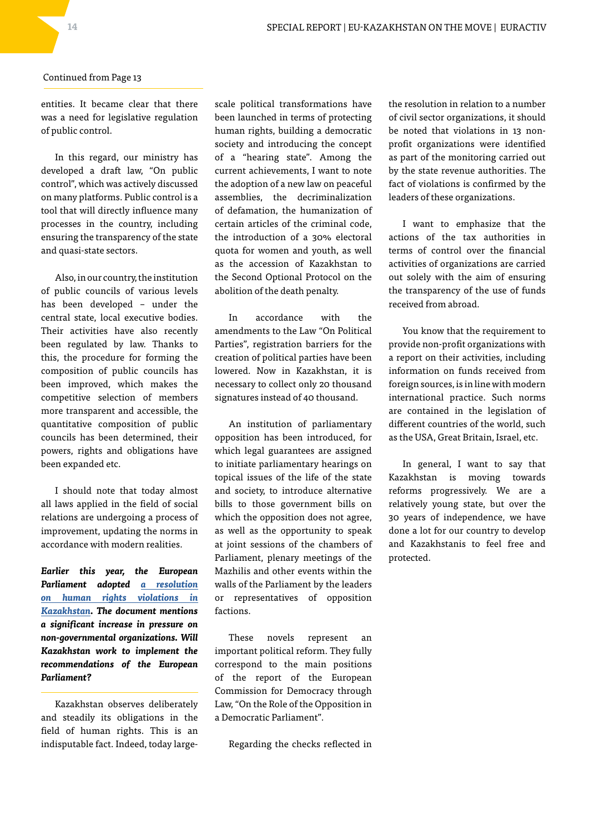entities. It became clear that there was a need for legislative regulation of public control.

In this regard, our ministry has developed a draft law, "On public control", which was actively discussed on many platforms. Public control is a tool that will directly influence many processes in the country, including ensuring the transparency of the state and quasi-state sectors.

Also, in our country, the institution of public councils of various levels has been developed – under the central state, local executive bodies. Their activities have also recently been regulated by law. Thanks to this, the procedure for forming the composition of public councils has been improved, which makes the competitive selection of members more transparent and accessible, the quantitative composition of public councils has been determined, their powers, rights and obligations have been expanded etc.

I should note that today almost all laws applied in the field of social relations are undergoing a process of improvement, updating the norms in accordance with modern realities.

*Earlier this year, the European Parliament adopted [a resolution](https://www.euractiv.com/section/central-asia/news/clumsy-resolution-risks-alienating-eu-from-kazakhstan-mep-says/) [on human rights violations in](https://www.euractiv.com/section/central-asia/news/clumsy-resolution-risks-alienating-eu-from-kazakhstan-mep-says/) [Kazakhstan.](https://www.euractiv.com/section/central-asia/news/clumsy-resolution-risks-alienating-eu-from-kazakhstan-mep-says/) The document mentions a significant increase in pressure on non-governmental organizations. Will Kazakhstan work to implement the recommendations of the European Parliament?*

Kazakhstan observes deliberately and steadily its obligations in the field of human rights. This is an indisputable fact. Indeed, today large-

scale political transformations have been launched in terms of protecting human rights, building a democratic society and introducing the concept of a "hearing state". Among the current achievements, I want to note the adoption of a new law on peaceful assemblies, the decriminalization of defamation, the humanization of certain articles of the criminal code, the introduction of a 30% electoral quota for women and youth, as well as the accession of Kazakhstan to the Second Optional Protocol on the abolition of the death penalty.

In accordance with the amendments to the Law "On Political Parties", registration barriers for the creation of political parties have been lowered. Now in Kazakhstan, it is necessary to collect only 20 thousand signatures instead of 40 thousand.

An institution of parliamentary opposition has been introduced, for which legal guarantees are assigned to initiate parliamentary hearings on topical issues of the life of the state and society, to introduce alternative bills to those government bills on which the opposition does not agree, as well as the opportunity to speak at joint sessions of the chambers of Parliament, plenary meetings of the Mazhilis and other events within the walls of the Parliament by the leaders or representatives of opposition factions.

These novels represent an important political reform. They fully correspond to the main positions of the report of the European Commission for Democracy through Law, "On the Role of the Opposition in a Democratic Parliament".

Regarding the checks reflected in

the resolution in relation to a number of civil sector organizations, it should be noted that violations in 13 nonprofit organizations were identified as part of the monitoring carried out by the state revenue authorities. The fact of violations is confirmed by the leaders of these organizations.

I want to emphasize that the actions of the tax authorities in terms of control over the financial activities of organizations are carried out solely with the aim of ensuring the transparency of the use of funds received from abroad.

You know that the requirement to provide non-profit organizations with a report on their activities, including information on funds received from foreign sources, is in line with modern international practice. Such norms are contained in the legislation of different countries of the world, such as the USA, Great Britain, Israel, etc.

In general, I want to say that Kazakhstan is moving towards reforms progressively. We are a relatively young state, but over the 30 years of independence, we have done a lot for our country to develop and Kazakhstanis to feel free and protected.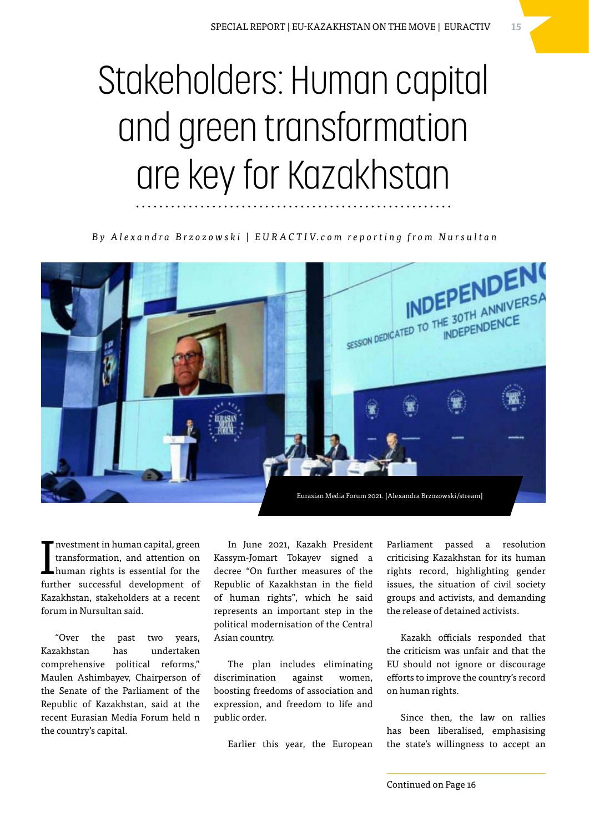# Stakeholders: Human capital and green transformation are key for Kazakhstan

*B y A l e x a n d r a B r z o z o w s k i | E U R A C T I V. c o m r e p o r t i n g f r o m N u r s u l t a n*



I nvestment in human capital, green transformation, and attention on human rights is essential for the further successful development of Kazakhstan, stakeholders at a recent forum in Nursultan said.

"Over the past two years, Kazakhstan has undertaken comprehensive political reforms," Maulen Ashimbayev, Chairperson of the Senate of the Parliament of the Republic of Kazakhstan, said at the recent Eurasian Media Forum held n the country's capital.

In June 2021, Kazakh President Kassym-Jomart Tokayev signed a decree "On further measures of the Republic of Kazakhstan in the field of human rights", which he said represents an important step in the political modernisation of the Central Asian country.

The plan includes eliminating discrimination against women, boosting freedoms of association and expression, and freedom to life and public order.

Earlier this year, the European

Parliament passed a resolution criticising Kazakhstan for its human rights record, highlighting gender issues, the situation of civil society groups and activists, and demanding the release of detained activists.

Kazakh officials responded that the criticism was unfair and that the EU should not ignore or discourage efforts to improve the country's record on human rights.

Since then, the law on rallies has been liberalised, emphasising the state's willingness to accept an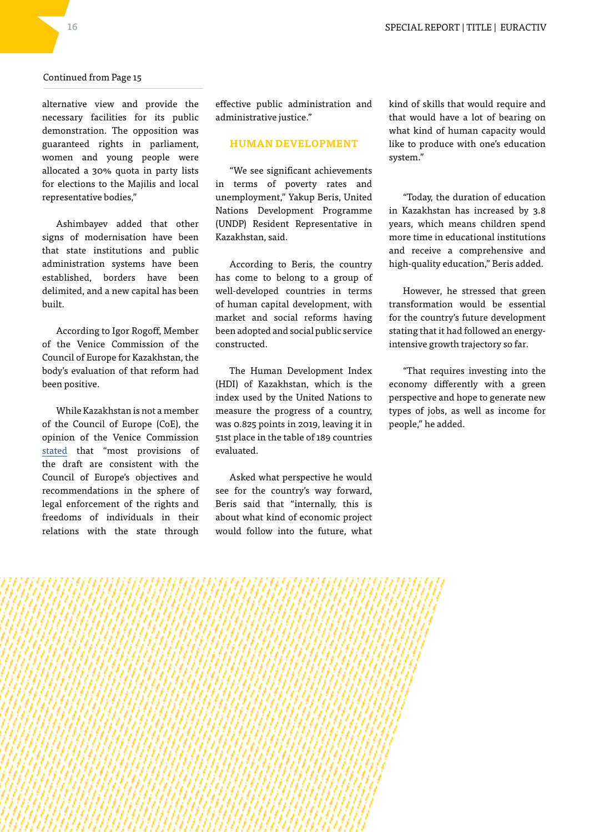alternative view and provide the necessary facilities for its public demonstration. The opposition was guaranteed rights in parliament, women and young people were allocated a 30% quota in party lists for elections to the Majilis and local representative bodies,"

Ashimbayev added that other signs of modernisation have been that state institutions and public administration systems have been established, borders have been delimited, and a new capital has been built.

According to Igor Rogoff, Member of the Venice Commission of the Council of Europe for Kazakhstan, the body's evaluation of that reform had been positive.

While Kazakhstan is not a member of the Council of Europe (CoE), the opinion of the Venice Commission [stated](https://www.venice.coe.int/webforms/documents/?pdf=CDL-AD(2021)010-e) that "most provisions of the draft are consistent with the Council of Europe's objectives and recommendations in the sphere of legal enforcement of the rights and freedoms of individuals in their relations with the state through

effective public administration and administrative justice."

#### **HUMAN DEVELOPMENT**

"We see significant achievements in terms of poverty rates and unemployment," Yakup Beris, United Nations Development Programme (UNDP) Resident Representative in Kazakhstan, said.

According to Beris, the country has come to belong to a group of well-developed countries in terms of human capital development, with market and social reforms having been adopted and social public service constructed.

The Human Development Index (HDI) of Kazakhstan, which is the index used by the United Nations to measure the progress of a country, was 0.825 points in 2019, leaving it in 51st place in the table of 189 countries evaluated.

Asked what perspective he would see for the country's way forward, Beris said that "internally, this is about what kind of economic project would follow into the future, what

kind of skills that would require and that would have a lot of bearing on what kind of human capacity would like to produce with one's education system."

"Today, the duration of education in Kazakhstan has increased by 3.8 years, which means children spend more time in educational institutions and receive a comprehensive and high-quality education," Beris added.

However, he stressed that green transformation would be essential for the country's future development stating that it had followed an energyintensive growth trajectory so far.

"That requires investing into the economy differently with a green perspective and hope to generate new types of jobs, as well as income for people," he added.